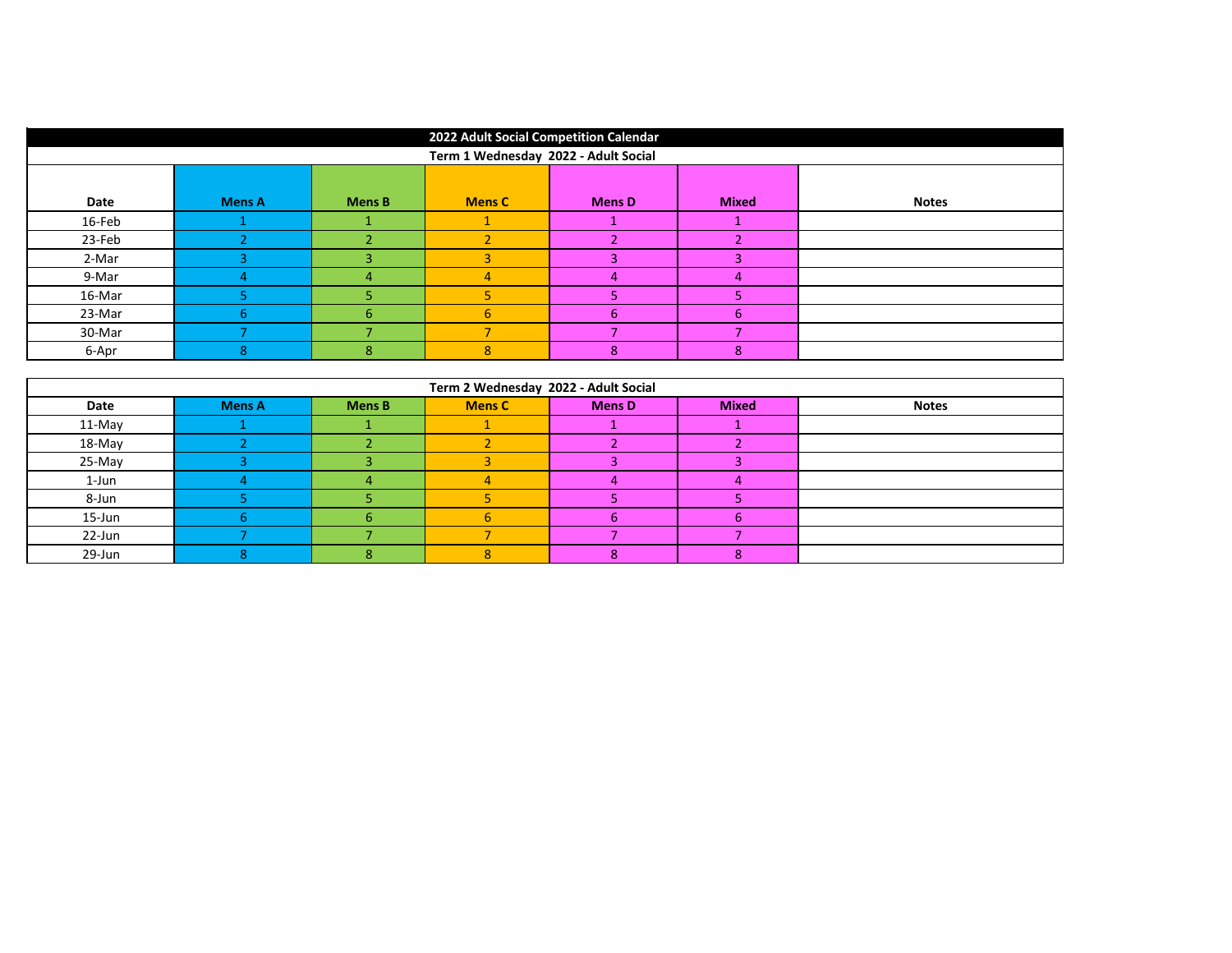| 2022 Adult Social Competition Calendar |               |               |               |               |              |              |  |
|----------------------------------------|---------------|---------------|---------------|---------------|--------------|--------------|--|
| Term 1 Wednesday 2022 - Adult Social   |               |               |               |               |              |              |  |
|                                        |               |               |               |               |              |              |  |
| Date                                   | <b>Mens A</b> | <b>Mens B</b> | <b>Mens C</b> | <b>Mens D</b> | <b>Mixed</b> | <b>Notes</b> |  |
| 16-Feb                                 |               |               |               |               |              |              |  |
| 23-Feb                                 |               |               |               |               |              |              |  |
| 2-Mar                                  |               |               |               | R             |              |              |  |
| 9-Mar                                  |               | $\Delta$      |               | 4             |              |              |  |
| 16-Mar                                 |               |               |               | 5             |              |              |  |
| 23-Mar                                 | 6.            | 6.            | 6             | -6            | 6            |              |  |
| 30-Mar                                 |               |               |               |               |              |              |  |
| 6-Apr                                  | 8             | 8             | $8^{\circ}$   | 8             | 8            |              |  |

| Term 2 Wednesday 2022 - Adult Social |               |               |               |               |              |              |  |
|--------------------------------------|---------------|---------------|---------------|---------------|--------------|--------------|--|
| Date                                 | <b>Mens A</b> | <b>Mens B</b> | <b>Mens C</b> | <b>Mens D</b> | <b>Mixed</b> | <b>Notes</b> |  |
| 11-May                               |               |               |               |               |              |              |  |
| 18-May                               |               |               |               |               |              |              |  |
| 25-May                               |               |               |               |               |              |              |  |
| 1-Jun                                |               |               |               |               |              |              |  |
| 8-Jun                                |               |               |               |               |              |              |  |
| 15-Jun                               |               |               |               | h             |              |              |  |
| 22-Jun                               |               |               |               |               |              |              |  |
| 29-Jun                               |               |               |               |               |              |              |  |